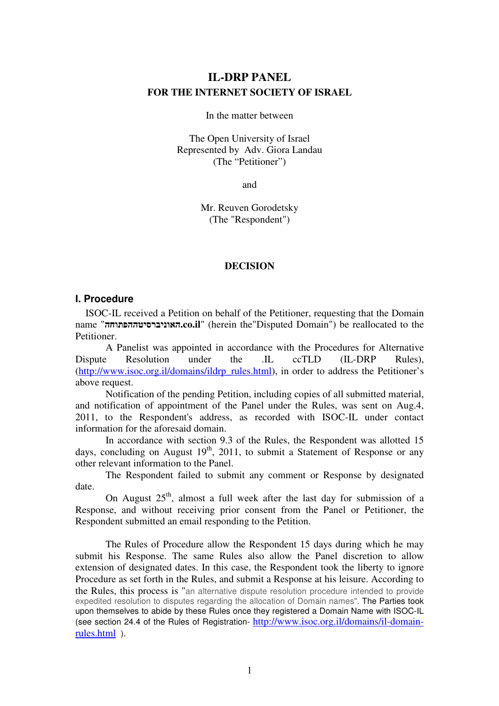# **IL-DRP PANEL FOR THE INTERNET SOCIETY OF ISRAEL**

In the matter between

The Open University of Israel Represented by Adv. Giora Landau (The "Petitioner")

and

Mr. Reuven Gorodetsky (The "Respondent")

#### **DECISION**

#### **I. Procedure**

 ISOC-IL received a Petition on behalf of the Petitioner, requesting that the Domain name "האוניברסיטההפתוחה**.co.il**" (herein the"Disputed Domain") be reallocated to the Petitioner.

 A Panelist was appointed in accordance with the Procedures for Alternative Dispute Resolution under the .IL ccTLD (IL-DRP Rules). (http://www.isoc.org.il/domains/ildrp\_rules.html), in order to address the Petitioner's above request.

 Notification of the pending Petition, including copies of all submitted material, and notification of appointment of the Panel under the Rules, was sent on Aug.4, 2011, to the Respondent's address, as recorded with ISOC-IL under contact information for the aforesaid domain.

 In accordance with section 9.3 of the Rules, the Respondent was allotted 15 days, concluding on August  $19<sup>th</sup>$ , 2011, to submit a Statement of Response or any other relevant information to the Panel.

 The Respondent failed to submit any comment or Response by designated date.

On August  $25<sup>th</sup>$ , almost a full week after the last day for submission of a Response, and without receiving prior consent from the Panel or Petitioner, the Respondent submitted an email responding to the Petition.

The Rules of Procedure allow the Respondent 15 days during which he may submit his Response. The same Rules also allow the Panel discretion to allow extension of designated dates. In this case, the Respondent took the liberty to ignore Procedure as set forth in the Rules, and submit a Response at his leisure. According to the Rules, this process is "an alternative dispute resolution procedure intended to provide expedited resolution to disputes regarding the allocation of Domain names". The Parties took upon themselves to abide by these Rules once they registered a Domain Name with ISOC-IL (see section 24.4 of the Rules of Registration- http://www.isoc.org.il/domains/il-domainrules.html ).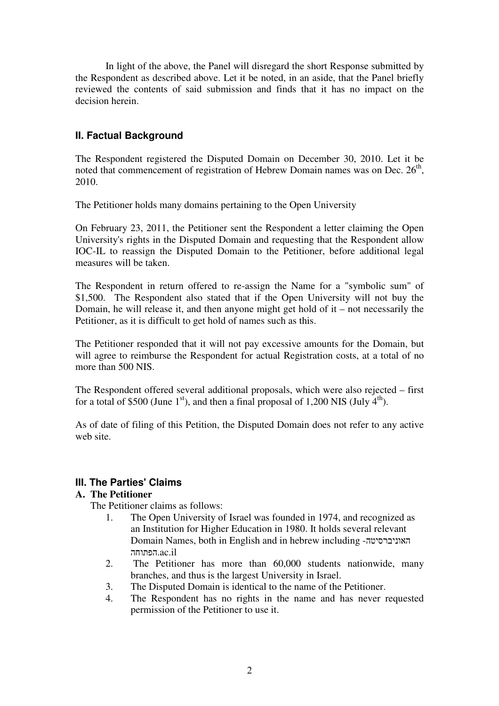In light of the above, the Panel will disregard the short Response submitted by the Respondent as described above. Let it be noted, in an aside, that the Panel briefly reviewed the contents of said submission and finds that it has no impact on the decision herein.

## **II. Factual Background**

The Respondent registered the Disputed Domain on December 30, 2010. Let it be noted that commencement of registration of Hebrew Domain names was on Dec.  $26<sup>th</sup>$ , 2010.

The Petitioner holds many domains pertaining to the Open University

On February 23, 2011, the Petitioner sent the Respondent a letter claiming the Open University's rights in the Disputed Domain and requesting that the Respondent allow IOC-IL to reassign the Disputed Domain to the Petitioner, before additional legal measures will be taken.

The Respondent in return offered to re-assign the Name for a "symbolic sum" of \$1,500. The Respondent also stated that if the Open University will not buy the Domain, he will release it, and then anyone might get hold of it – not necessarily the Petitioner, as it is difficult to get hold of names such as this.

The Petitioner responded that it will not pay excessive amounts for the Domain, but will agree to reimburse the Respondent for actual Registration costs, at a total of no more than 500 NIS.

The Respondent offered several additional proposals, which were also rejected – first for a total of \$500 (June 1st), and then a final proposal of 1,200 NIS (July  $4<sup>th</sup>$ ).

As of date of filing of this Petition, the Disputed Domain does not refer to any active web site.

### **III. The Parties' Claims**

### **A. The Petitioner**

The Petitioner claims as follows:

- 1. The Open University of Israel was founded in 1974, and recognized as an Institution for Higher Education in 1980. It holds several relevant Domain Names, both in English and in hebrew including -האוניברסיטה הפתוחה.ac.il
- 2. The Petitioner has more than 60,000 students nationwide, many branches, and thus is the largest University in Israel.
- 3. The Disputed Domain is identical to the name of the Petitioner.
- 4. The Respondent has no rights in the name and has never requested permission of the Petitioner to use it.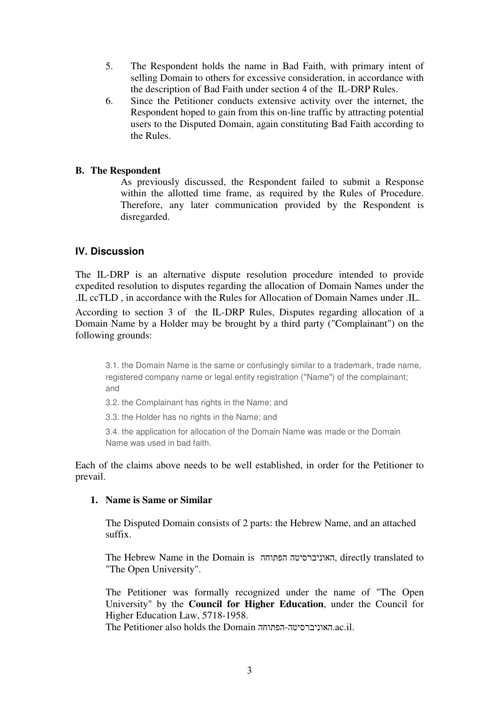- 5. The Respondent holds the name in Bad Faith, with primary intent of selling Domain to others for excessive consideration, in accordance with the description of Bad Faith under section 4 of the IL-DRP Rules.
- 6. Since the Petitioner conducts extensive activity over the internet, the Respondent hoped to gain from this on-line traffic by attracting potential users to the Disputed Domain, again constituting Bad Faith according to the Rules.

#### **B. The Respondent**

As previously discussed, the Respondent failed to submit a Response within the allotted time frame, as required by the Rules of Procedure. Therefore, any later communication provided by the Respondent is disregarded.

### **IV. Discussion**

The IL-DRP is an alternative dispute resolution procedure intended to provide expedited resolution to disputes regarding the allocation of Domain Names under the .IL ccTLD , in accordance with the Rules for Allocation of Domain Names under .IL.

According to section 3 of the IL-DRP Rules, Disputes regarding allocation of a Domain Name by a Holder may be brought by a third party ("Complainant") on the following grounds:

3.1. the Domain Name is the same or confusingly similar to a trademark, trade name, registered company name or legal entity registration ("Name") of the complainant; and

3.2. the Complainant has rights in the Name; and

3.3. the Holder has no rights in the Name; and

3.4. the application for allocation of the Domain Name was made or the Domain Name was used in bad faith.

Each of the claims above needs to be well established, in order for the Petitioner to prevail.

#### **1. Name is Same or Similar**

The Disputed Domain consists of 2 parts: the Hebrew Name, and an attached suffix.

The Hebrew Name in the Domain is הפתוחה האוניברסיטה, directly translated to "The Open University".

The Petitioner was formally recognized under the name of "The Open University" by the **Council for Higher Education**, under the Council for Higher Education Law, 5718-1958.

The Petitioner also holds the Domain הפתוחה-האוניברסיטה.ac.il.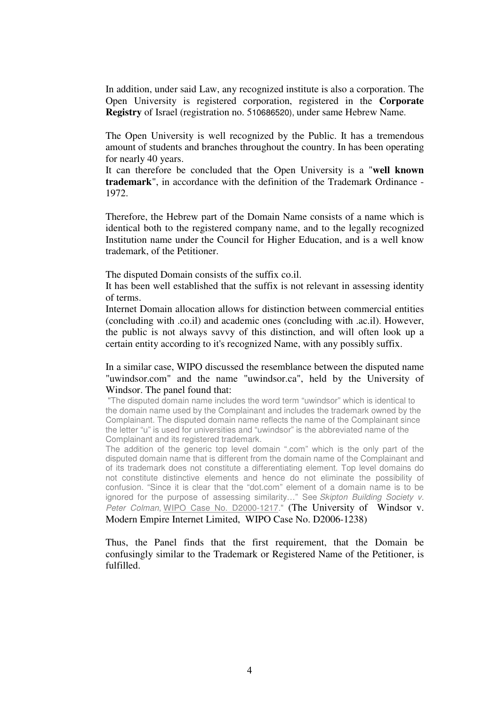In addition, under said Law, any recognized institute is also a corporation. The Open University is registered corporation, registered in the **Corporate Registry** of Israel (registration no. 510686520), under same Hebrew Name.

The Open University is well recognized by the Public. It has a tremendous amount of students and branches throughout the country. In has been operating for nearly 40 years.

It can therefore be concluded that the Open University is a "**well known trademark**", in accordance with the definition of the Trademark Ordinance - 1972.

Therefore, the Hebrew part of the Domain Name consists of a name which is identical both to the registered company name, and to the legally recognized Institution name under the Council for Higher Education, and is a well know trademark, of the Petitioner.

The disputed Domain consists of the suffix co.il.

It has been well established that the suffix is not relevant in assessing identity of terms.

Internet Domain allocation allows for distinction between commercial entities (concluding with .co.il) and academic ones (concluding with .ac.il). However, the public is not always savvy of this distinction, and will often look up a certain entity according to it's recognized Name, with any possibly suffix.

In a similar case, WIPO discussed the resemblance between the disputed name "uwindsor.com" and the name "uwindsor.ca", held by the University of Windsor. The panel found that:

 "The disputed domain name includes the word term "uwindsor" which is identical to the domain name used by the Complainant and includes the trademark owned by the Complainant. The disputed domain name reflects the name of the Complainant since the letter "u" is used for universities and "uwindsor" is the abbreviated name of the Complainant and its registered trademark.

The addition of the generic top level domain ".com" which is the only part of the disputed domain name that is different from the domain name of the Complainant and of its trademark does not constitute a differentiating element. Top level domains do not constitute distinctive elements and hence do not eliminate the possibility of confusion. "Since it is clear that the "dot.com" element of a domain name is to be ignored for the purpose of assessing similarity..." See Skipton Building Society v. Peter Colman, WIPO Case No. D2000-1217." (The University of Windsor v. Modern Empire Internet Limited, WIPO Case No. D2006-1238)

Thus, the Panel finds that the first requirement, that the Domain be confusingly similar to the Trademark or Registered Name of the Petitioner, is fulfilled.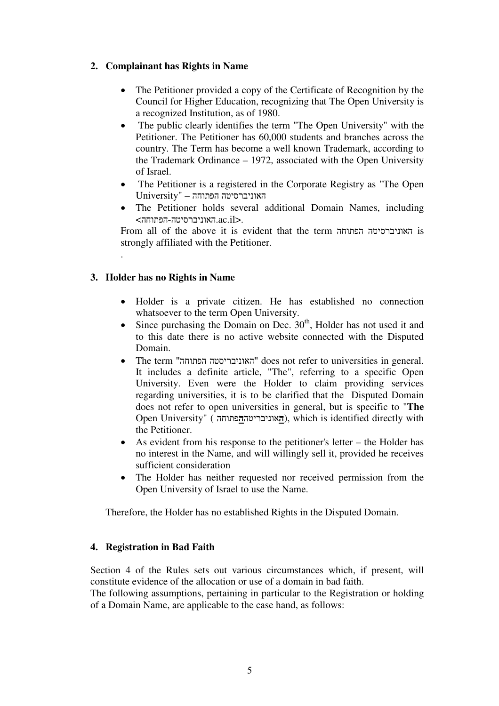## **2. Complainant has Rights in Name**

- The Petitioner provided a copy of the Certificate of Recognition by the Council for Higher Education, recognizing that The Open University is a recognized Institution, as of 1980.
- The public clearly identifies the term "The Open University" with the Petitioner. The Petitioner has 60,000 students and branches across the country. The Term has become a well known Trademark, according to the Trademark Ordinance – 1972, associated with the Open University of Israel.
- The Petitioner is a registered in the Corporate Registry as "The Open האוניברסיטה הפתוחה – "University
- The Petitioner holds several additional Domain Names, including  $\leq$ האוניברסיטה-הפתוחה.

From all of the above it is evident that the term הפתוחה האוניברסיטה is strongly affiliated with the Petitioner.

## **3. Holder has no Rights in Name**

.

- Holder is a private citizen. He has established no connection whatsoever to the term Open University.
- Since purchasing the Domain on Dec.  $30<sup>th</sup>$ , Holder has not used it and to this date there is no active website connected with the Disputed Domain.
- The term "הפתוחה האוניבריסטה "does not refer to universities in general. It includes a definite article, "The", referring to a specific Open University. Even were the Holder to claim providing services regarding universities, it is to be clarified that the Disputed Domain does not refer to open universities in general, but is specific to "**The** Open University" (
האוניבריטה<sub></sub>הפתוחה), which is identified directly with the Petitioner.
- As evident from his response to the petitioner's letter the Holder has no interest in the Name, and will willingly sell it, provided he receives sufficient consideration
- The Holder has neither requested nor received permission from the Open University of Israel to use the Name.

Therefore, the Holder has no established Rights in the Disputed Domain.

### **4. Registration in Bad Faith**

Section 4 of the Rules sets out various circumstances which, if present, will constitute evidence of the allocation or use of a domain in bad faith.

The following assumptions, pertaining in particular to the Registration or holding of a Domain Name, are applicable to the case hand, as follows: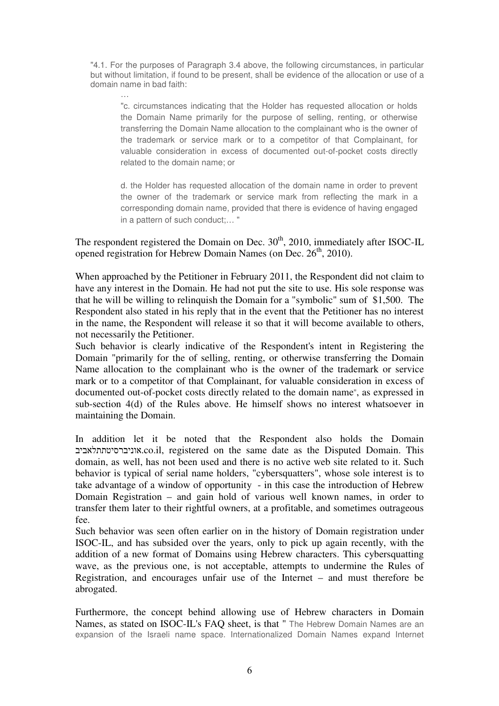"4.1. For the purposes of Paragraph 3.4 above, the following circumstances, in particular but without limitation, if found to be present, shall be evidence of the allocation or use of a domain name in bad faith:

"c. circumstances indicating that the Holder has requested allocation or holds the Domain Name primarily for the purpose of selling, renting, or otherwise transferring the Domain Name allocation to the complainant who is the owner of the trademark or service mark or to a competitor of that Complainant, for valuable consideration in excess of documented out-of-pocket costs directly related to the domain name; or

d. the Holder has requested allocation of the domain name in order to prevent the owner of the trademark or service mark from reflecting the mark in a corresponding domain name, provided that there is evidence of having engaged in a pattern of such conduct;… "

The respondent registered the Domain on Dec.  $30<sup>th</sup>$ , 2010, immediately after ISOC-IL opened registration for Hebrew Domain Names (on Dec.  $26<sup>th</sup>$ , 2010).

When approached by the Petitioner in February 2011, the Respondent did not claim to have any interest in the Domain. He had not put the site to use. His sole response was that he will be willing to relinquish the Domain for a "symbolic" sum of \$1,500. The Respondent also stated in his reply that in the event that the Petitioner has no interest in the name, the Respondent will release it so that it will become available to others, not necessarily the Petitioner.

Such behavior is clearly indicative of the Respondent's intent in Registering the Domain "primarily for the of selling, renting, or otherwise transferring the Domain Name allocation to the complainant who is the owner of the trademark or service mark or to a competitor of that Complainant, for valuable consideration in excess of documented out-of-pocket costs directly related to the domain name", as expressed in sub-section 4(d) of the Rules above. He himself shows no interest whatsoever in maintaining the Domain.

In addition let it be noted that the Respondent also holds the Domain אוניברסיטתתלאביב.co.il, registered on the same date as the Disputed Domain. This domain, as well, has not been used and there is no active web site related to it. Such behavior is typical of serial name holders, "cybersquatters", whose sole interest is to take advantage of a window of opportunity - in this case the introduction of Hebrew Domain Registration – and gain hold of various well known names, in order to transfer them later to their rightful owners, at a profitable, and sometimes outrageous fee.

Such behavior was seen often earlier on in the history of Domain registration under ISOC-IL, and has subsided over the years, only to pick up again recently, with the addition of a new format of Domains using Hebrew characters. This cybersquatting wave, as the previous one, is not acceptable, attempts to undermine the Rules of Registration, and encourages unfair use of the Internet – and must therefore be abrogated.

Furthermore, the concept behind allowing use of Hebrew characters in Domain Names, as stated on ISOC-IL's FAQ sheet, is that " The Hebrew Domain Names are an expansion of the Israeli name space. Internationalized Domain Names expand Internet